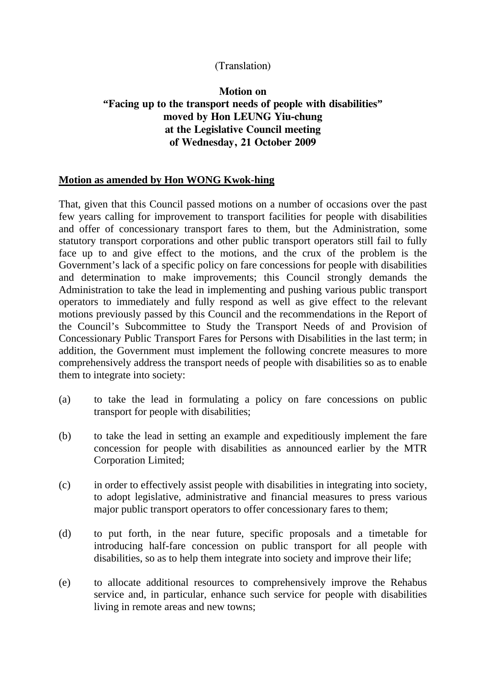## (Translation)

## **Motion on "Facing up to the transport needs of people with disabilities" moved by Hon LEUNG Yiu-chung at the Legislative Council meeting of Wednesday, 21 October 2009**

## **Motion as amended by Hon WONG Kwok-hing**

That, given that this Council passed motions on a number of occasions over the past few years calling for improvement to transport facilities for people with disabilities and offer of concessionary transport fares to them, but the Administration, some statutory transport corporations and other public transport operators still fail to fully face up to and give effect to the motions, and the crux of the problem is the Government's lack of a specific policy on fare concessions for people with disabilities and determination to make improvements; this Council strongly demands the Administration to take the lead in implementing and pushing various public transport operators to immediately and fully respond as well as give effect to the relevant motions previously passed by this Council and the recommendations in the Report of the Council's Subcommittee to Study the Transport Needs of and Provision of Concessionary Public Transport Fares for Persons with Disabilities in the last term; in addition, the Government must implement the following concrete measures to more comprehensively address the transport needs of people with disabilities so as to enable them to integrate into society:

- (a) to take the lead in formulating a policy on fare concessions on public transport for people with disabilities;
- (b) to take the lead in setting an example and expeditiously implement the fare concession for people with disabilities as announced earlier by the MTR Corporation Limited;
- (c) in order to effectively assist people with disabilities in integrating into society, to adopt legislative, administrative and financial measures to press various major public transport operators to offer concessionary fares to them;
- (d) to put forth, in the near future, specific proposals and a timetable for introducing half-fare concession on public transport for all people with disabilities, so as to help them integrate into society and improve their life;
- (e) to allocate additional resources to comprehensively improve the Rehabus service and, in particular, enhance such service for people with disabilities living in remote areas and new towns;